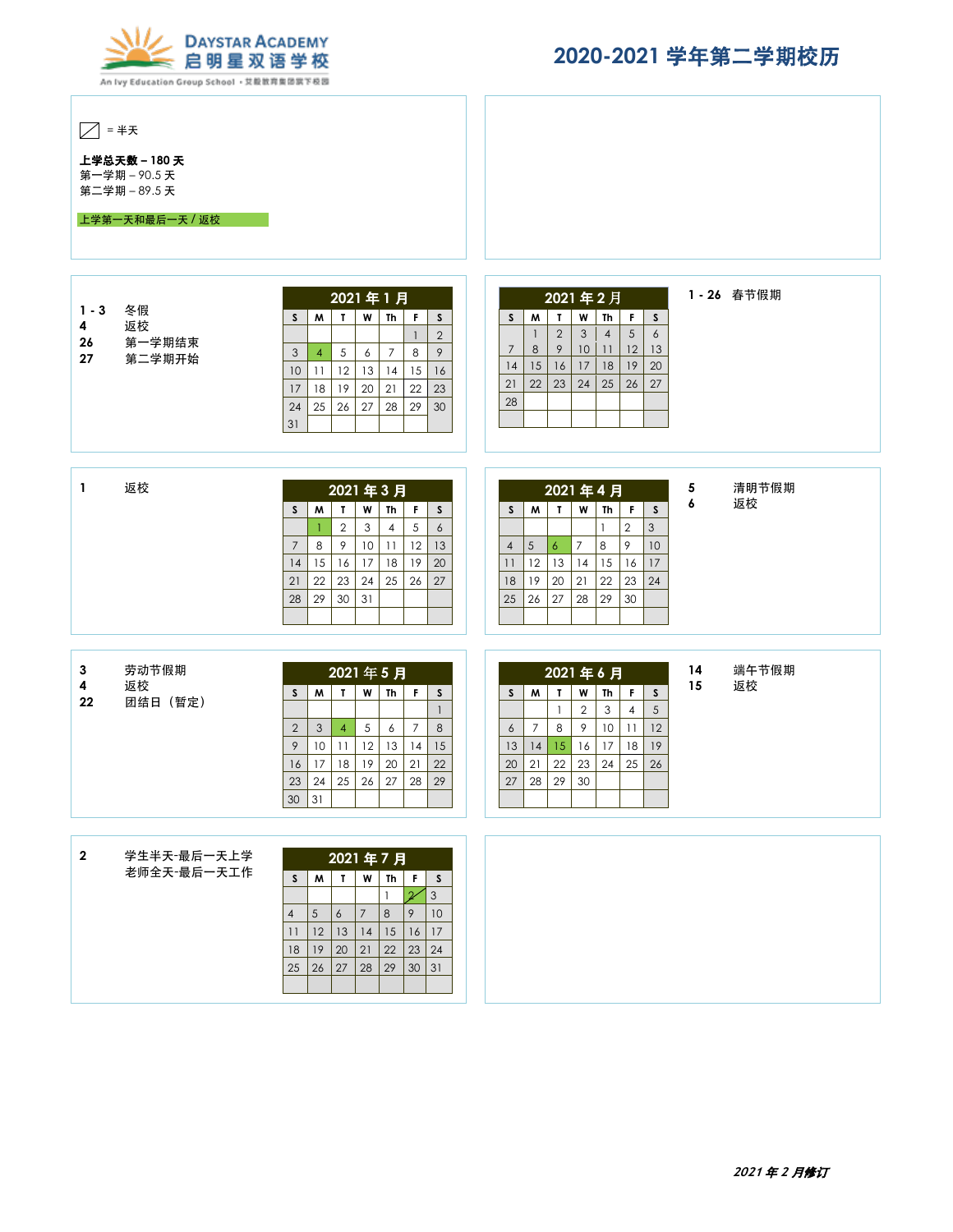

# **2020-2021** 学年第⼆学期校历

= 半天

上学总天数 **– 180** 天 第⼀学期 – 90.5 天 第⼆学期 – 89.5 天

## 上学第⼀天和最后⼀天 / 返校

|         |        |                |    |              |    | 2021年1月        |    |    |
|---------|--------|----------------|----|--------------|----|----------------|----|----|
| $1 - 3$ | 冬假     | S              | M  | $\mathbf{I}$ | W  | Th             | F. | S. |
| 4       | 返校     |                |    |              |    |                |    | 2  |
| 26      | 第一学期结束 | 3              | 4  | 5            | 6  | $\overline{7}$ | 8  | 9  |
| 27      | 第二学期开始 | 10             | 11 | 12           | 13 | 14             | 15 | 16 |
|         |        | 17             | 18 | 19           | 20 | 21             | 22 | 23 |
|         |        | 24             | 25 | 26           | 27 | 28             | 29 | 30 |
|         |        | 31             |    |              |    |                |    |    |
|         |        |                |    |              |    |                |    |    |
|         |        |                |    |              |    |                |    |    |
|         |        |                |    |              |    |                |    |    |
|         |        |                |    |              |    |                |    |    |
|         |        |                |    |              |    |                |    |    |
|         | 返校     |                |    |              |    | 2021年3月        |    |    |
|         |        | S              | M  | T.           | W  | Th             | F. | S  |
|         |        |                |    | 2            | 3  | 4              | 5  | 6  |
|         |        | $\overline{7}$ | 8  | 9            | 10 | 11             | 12 | 13 |
|         |        | 14             | 15 | 16           | 17 | 18             | 19 | 20 |
|         |        | 21             | 22 | 23           | 24 | 25             | 26 | 27 |
|         |        | 28             | 29 | 30           | 31 |                |    |    |
|         |        |                |    |              |    |                |    |    |
|         |        |                |    |              |    |                |    |    |
|         |        |                |    |              |    |                |    |    |

| 3  | 劳动节假期       |    |    |    |    | 2021年5月   |     |    |         |                | 2021年6月         |    |    |    |    | 14 | 端午节假期 |  |
|----|-------------|----|----|----|----|-----------|-----|----|---------|----------------|-----------------|----|----|----|----|----|-------|--|
| 4  | 返校          | э  | M  |    | W  | <b>Th</b> | F.  | ъ  | S       | M              |                 | W  | Th | F. | э  | 15 | 返校    |  |
| 22 | 团结日<br>(暂定) |    |    |    |    |           |     |    |         |                |                 | ◠  | 3  | 4  | 5  |    |       |  |
|    |             | ∠  | 3  | 4  | 5  | 6         |     | 8  | $\circ$ |                | 8               | 9  | 10 |    | 12 |    |       |  |
|    |             |    | 10 |    | 12 | 13        | 14  | 15 | 13      | 14             | 15 <sub>1</sub> | 16 | 17 | 18 | 19 |    |       |  |
|    |             | 16 |    | 18 | 19 | 20        | 21  | 22 | 20      | 2 <sup>1</sup> | 22              | 23 | 24 | 25 | 26 |    |       |  |
|    |             | 23 | 24 | 25 | 26 | 27        | -28 | 29 | 27      | 28 l           | 29              | 30 |    |    |    |    |       |  |
|    |             | 30 | 31 |    |    |           |     |    |         |                |                 |    |    |    |    |    |       |  |
|    |             |    |    |    |    |           |     |    |         |                |                 |    |    |    |    |    |       |  |

| $\mathbf{2}$ | 学生半天-最后一天上学 |          |    |         |       | 2021年7月 |       |           |
|--------------|-------------|----------|----|---------|-------|---------|-------|-----------|
|              | 老师全天-最后一天工作 | <b>D</b> | M  | Т       | W     | Th      | F I   | S.        |
|              |             |          |    |         |       |         |       | 3         |
|              |             | 4        | 5  | $\circ$ |       | 8       | 9     | 10        |
|              |             |          | 12 | 13      | 14    | 15      |       | $16$   17 |
|              |             | 18       | 19 | 20      | 21    | 22      | 23 24 |           |
|              |             | 25       | 26 | 27      | 28 29 |         | 30 31 |           |
|              |             |          |    |         |       |         |       |           |
|              |             |          |    |         |       |         |       |           |

年 **2** ⽉修订